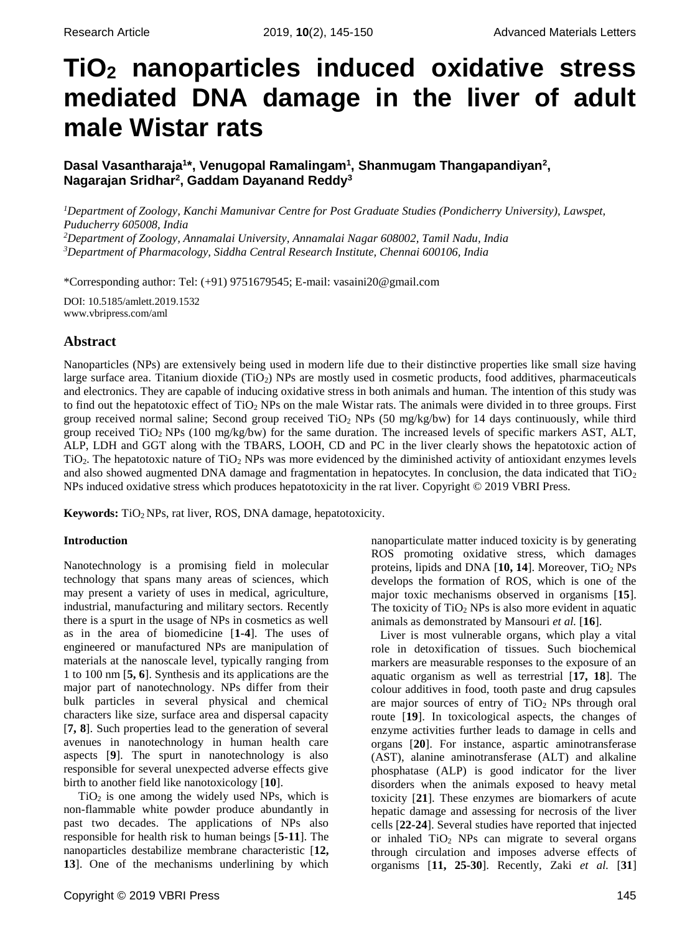# **TiO<sup>2</sup> nanoparticles induced oxidative stress mediated DNA damage in the liver of adult male Wistar rats**

**Dasal Vasantharaja<sup>1</sup> \*, Venugopal Ramalingam<sup>1</sup> , Shanmugam Thangapandiyan<sup>2</sup> , Nagarajan Sridhar<sup>2</sup> , Gaddam Dayanand Reddy<sup>3</sup>**

*Department of Zoology, Kanchi Mamunivar Centre for Post Graduate Studies (Pondicherry University), Lawspet, Puducherry 605008, India Department of Zoology, Annamalai University, Annamalai Nagar 608002, Tamil Nadu, India Department of Pharmacology, Siddha Central Research Institute, Chennai 600106, India*

\*Corresponding author: Tel: (+91) 9751679545; E-mail: vasaini20@gmail.com

DOI: 10.5185/amlett.2019.1532 www.vbripress.com/aml

## **Abstract**

Nanoparticles (NPs) are extensively being used in modern life due to their distinctive properties like small size having large surface area. Titanium dioxide  $(TiO<sub>2</sub>)$  NPs are mostly used in cosmetic products, food additives, pharmaceuticals and electronics. They are capable of inducing oxidative stress in both animals and human. The intention of this study was to find out the hepatotoxic effect of TiO<sup>2</sup> NPs on the male Wistar rats. The animals were divided in to three groups. First group received normal saline; Second group received  $TiO<sub>2</sub>$  NPs (50 mg/kg/bw) for 14 days continuously, while third group received TiO2 NPs (100 mg/kg/bw) for the same duration. The increased levels of specific markers AST, ALT, ALP, LDH and GGT along with the TBARS, LOOH, CD and PC in the liver clearly shows the hepatotoxic action of  $TiO<sub>2</sub>$ . The hepatotoxic nature of  $TiO<sub>2</sub>$  NPs was more evidenced by the diminished activity of antioxidant enzymes levels and also showed augmented DNA damage and fragmentation in hepatocytes. In conclusion, the data indicated that  $TiO<sub>2</sub>$ NPs induced oxidative stress which produces hepatotoxicity in the rat liver. Copyright © 2019 VBRI Press.

Keywords: TiO<sub>2</sub> NPs, rat liver, ROS, DNA damage, hepatotoxicity.

#### **Introduction**

Nanotechnology is a promising field in molecular technology that spans many areas of sciences, which may present a variety of uses in medical, agriculture, industrial, manufacturing and military sectors. Recently there is a spurt in the usage of NPs in cosmetics as well as in the area of biomedicine [**1-4**]. The uses of engineered or manufactured NPs are manipulation of materials at the nanoscale level, typically ranging from 1 to 100 nm [**5, 6**]. Synthesis and its applications are the major part of nanotechnology. NPs differ from their bulk particles in several physical and chemical characters like size, surface area and dispersal capacity [**7, 8**]. Such properties lead to the generation of several avenues in nanotechnology in human health care aspects [**9**]. The spurt in nanotechnology is also responsible for several unexpected adverse effects give birth to another field like nanotoxicology [**10**].

 $TiO<sub>2</sub>$  is one among the widely used NPs, which is non-flammable white powder produce abundantly in past two decades. The applications of NPs also responsible for health risk to human beings [**5-11**]. The nanoparticles destabilize membrane characteristic [**12, 13**]. One of the mechanisms underlining by which

nanoparticulate matter induced toxicity is by generating ROS promoting oxidative stress, which damages proteins, lipids and DNA [**10, 14**]. Moreover, TiO<sup>2</sup> NPs develops the formation of ROS, which is one of the major toxic mechanisms observed in organisms [**15**]. The toxicity of  $TiO<sub>2</sub>$  NPs is also more evident in aquatic animals as demonstrated by Mansouri *et al.* [**16**].

 Liver is most vulnerable organs, which play a vital role in detoxification of tissues. Such biochemical markers are measurable responses to the exposure of an aquatic organism as well as terrestrial [**17, 18**]. The colour additives in food, tooth paste and drug capsules are major sources of entry of  $TiO<sub>2</sub>$  NPs through oral route [**19**]. In toxicological aspects, the changes of enzyme activities further leads to damage in cells and organs [**20**]. For instance, aspartic aminotransferase (AST), alanine aminotransferase (ALT) and alkaline phosphatase (ALP) is good indicator for the liver disorders when the animals exposed to heavy metal toxicity [**21**]. These enzymes are biomarkers of acute hepatic damage and assessing for necrosis of the liver cells [**22-24**]. Several studies have reported that injected or inhaled  $TiO<sub>2</sub>$  NPs can migrate to several organs through circulation and imposes adverse effects of organisms [**11, 25-30**]. Recently, Zaki *et al.* [**31**]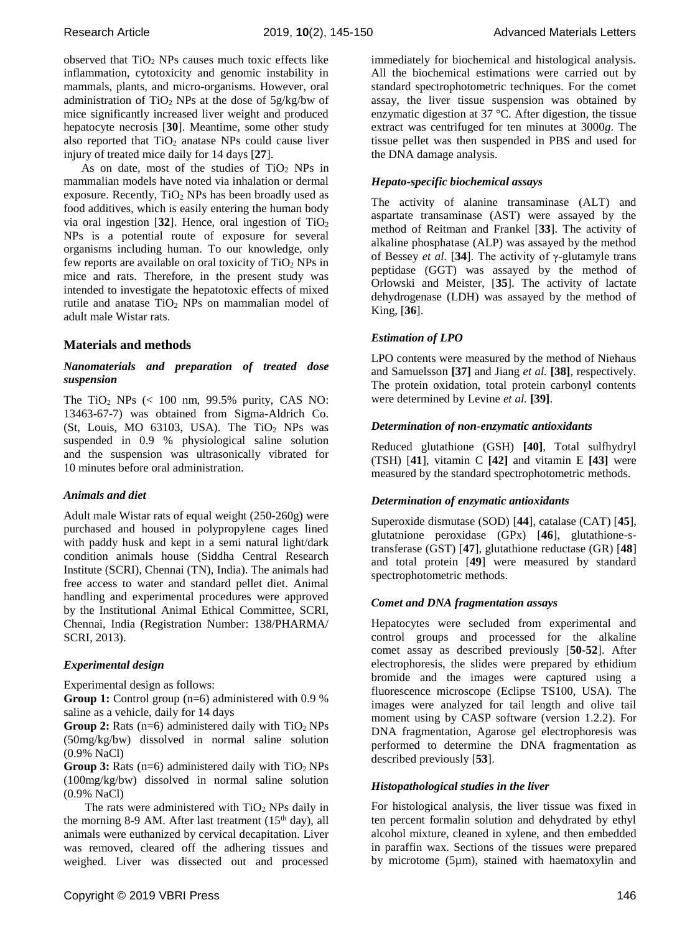observed that  $TiO<sub>2</sub>$  NPs causes much toxic effects like inflammation, cytotoxicity and genomic instability in mammals, plants, and micro-organisms. However, oral administration of  $TiO<sub>2</sub>$  NPs at the dose of  $5g/kg/bw$  of mice significantly increased liver weight and produced hepatocyte necrosis [**30**]. Meantime, some other study also reported that  $TiO<sub>2</sub>$  anatase NPs could cause liver injury of treated mice daily for 14 days [**27**].

As on date, most of the studies of  $TiO<sub>2</sub>$  NPs in mammalian models have noted via inhalation or dermal exposure. Recently,  $TiO<sub>2</sub>$  NPs has been broadly used as food additives, which is easily entering the human body via oral ingestion  $[32]$ . Hence, oral ingestion of  $TiO<sub>2</sub>$ NPs is a potential route of exposure for several organisms including human. To our knowledge, only few reports are available on oral toxicity of  $TiO<sub>2</sub>$  NPs in mice and rats. Therefore, in the present study was intended to investigate the hepatotoxic effects of mixed rutile and anatase  $TiO<sub>2</sub>$  NPs on mammalian model of adult male Wistar rats.

#### **Materials and methods**

#### *Nanomaterials and preparation of treated dose suspension*

The TiO<sub>2</sub> NPs  $\left(\frac{100 \text{ nm}}{99.5\% \text{ purity}}\right)$ , CAS NO: 13463-67-7) was obtained from Sigma-Aldrich Co. (St, Louis, MO 63103, USA). The TiO<sub>2</sub> NPs was suspended in 0.9 % physiological saline solution and the suspension was ultrasonically vibrated for 10 minutes before oral administration.

#### *Animals and diet*

Adult male Wistar rats of equal weight (250-260g) were purchased and housed in polypropylene cages lined with paddy husk and kept in a semi natural light/dark condition animals house (Siddha Central Research Institute (SCRI), Chennai (TN), India). The animals had free access to water and standard pellet diet. Animal handling and experimental procedures were approved by the Institutional Animal Ethical Committee, SCRI, Chennai, India (Registration Number: 138/PHARMA/ SCRI, 2013).

#### *Experimental design*

Experimental design as follows:

**Group 1:** Control group (n=6) administered with 0.9 % saline as a vehicle, daily for 14 days

**Group 2:** Rats  $(n=6)$  administered daily with  $TiO<sub>2</sub> NPs$ (50mg/kg/bw) dissolved in normal saline solution (0.9% NaCl)

**Group 3:** Rats  $(n=6)$  administered daily with  $TiO<sub>2</sub> NPs$ (100mg/kg/bw) dissolved in normal saline solution (0.9% NaCl)

The rats were administered with  $TiO<sub>2</sub>$  NPs daily in the morning 8-9 AM. After last treatment  $(15<sup>th</sup> \, \text{day})$ , all animals were euthanized by cervical decapitation. Liver was removed, cleared off the adhering tissues and weighed. Liver was dissected out and processed immediately for biochemical and histological analysis. All the biochemical estimations were carried out by standard spectrophotometric techniques. For the comet assay, the liver tissue suspension was obtained by enzymatic digestion at 37 °C. After digestion, the tissue extract was centrifuged for ten minutes at 3000*g*. The tissue pellet was then suspended in PBS and used for the DNA damage analysis.

#### *Hepato-specific biochemical assays*

The activity of alanine transaminase (ALT) and aspartate transaminase (AST) were assayed by the method of Reitman and Frankel [**33**]. The activity of alkaline phosphatase (ALP) was assayed by the method of Bessey *et al.* [**34**]. The activity of γ-glutamyle trans peptidase (GGT) was assayed by the method of Orlowski and Meister, [**35**]. The activity of lactate dehydrogenase (LDH) was assayed by the method of King, [**36**].

#### *Estimation of LPO*

LPO contents were measured by the method of Niehaus and Samuelsson **[37]** and Jiang *et al.* **[38]**, respectively. The protein oxidation, total protein carbonyl contents were determined by Levine *et al.* **[39]**.

#### *Determination of non-enzymatic antioxidants*

Reduced glutathione (GSH) **[40]**, Total sulfhydryl (TSH) [**41**], vitamin C **[42]** and vitamin E **[43]** were measured by the standard spectrophotometric methods.

#### *Determination of enzymatic antioxidants*

Superoxide dismutase (SOD) [**44**], catalase (CAT) [**45**], glutatnione peroxidase (GPx) [**46**], glutathione-stransferase (GST) [**47**], glutathione reductase (GR) [**48**] and total protein [**49**] were measured by standard spectrophotometric methods.

#### *Comet and DNA fragmentation assays*

Hepatocytes were secluded from experimental and control groups and processed for the alkaline comet assay as described previously [**50-52**]. After electrophoresis, the slides were prepared by ethidium bromide and the images were captured using a fluorescence microscope (Eclipse TS100, USA). The images were analyzed for tail length and olive tail moment using by CASP software (version 1.2.2). For DNA fragmentation, Agarose gel electrophoresis was performed to determine the DNA fragmentation as described previously [**53**].

#### *Histopathological studies in the liver*

For histological analysis, the liver tissue was fixed in ten percent formalin solution and dehydrated by ethyl alcohol mixture, cleaned in xylene, and then embedded in paraffin wax. Sections of the tissues were prepared by microtome (5µm), stained with haematoxylin and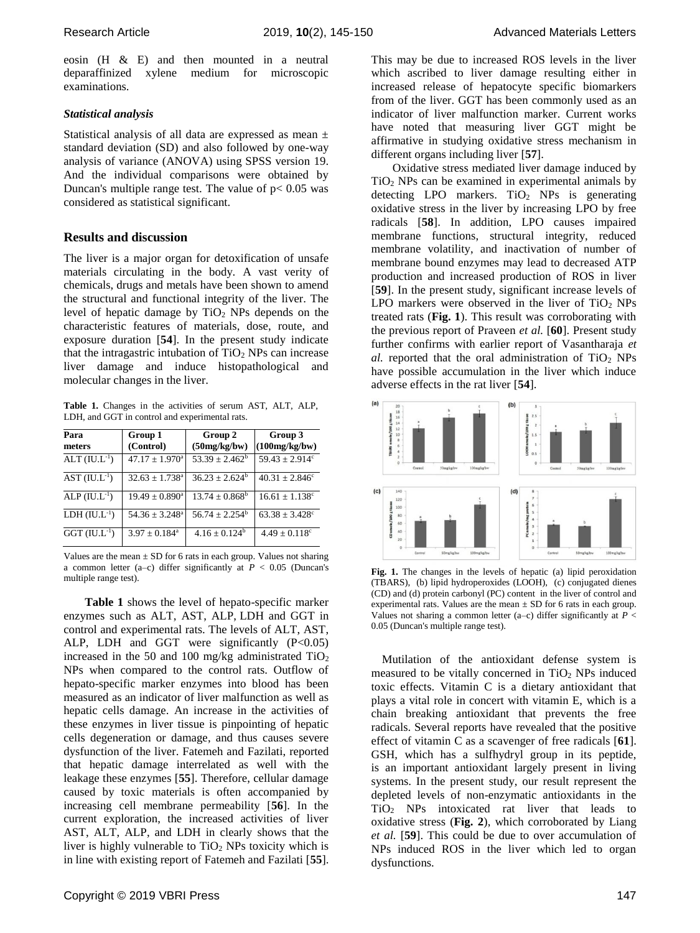eosin (H & E) and then mounted in a neutral deparaffinized xylene medium for microscopic examinations.

#### *Statistical analysis*

Statistical analysis of all data are expressed as mean ± standard deviation (SD) and also followed by one-way analysis of variance (ANOVA) using SPSS version 19. And the individual comparisons were obtained by Duncan's multiple range test. The value of  $p < 0.05$  was considered as statistical significant.

### **Results and discussion**

The liver is a major organ for detoxification of unsafe materials circulating in the body. A vast verity of chemicals, drugs and metals have been shown to amend the structural and functional integrity of the liver. The level of hepatic damage by  $TiO<sub>2</sub>$  NPs depends on the characteristic features of materials, dose, route, and exposure duration [**54**]. In the present study indicate that the intragastric intubation of  $TiO<sub>2</sub>$  NPs can increase liver damage and induce histopathological and molecular changes in the liver.

**Table 1.** Changes in the activities of serum AST, ALT, ALP, LDH, and GGT in control and experimental rats.

| Para<br>meters              | Group 1<br>(Control)         | Group 2<br>(50mg/kg/bw) | Group 3<br>(100mg/kg/bw)       |
|-----------------------------|------------------------------|-------------------------|--------------------------------|
| $ALT$ (IU.L <sup>-1</sup> ) | $47.17 \pm 1.970^{\circ}$    | $53.39 \pm 2.462^b$     | $59.43 \pm 2.914$ <sup>c</sup> |
| AST $(IU.L^{-1})$           | $32.63 \pm 1.738^{\circ}$    | $36.23 + 2.624^b$       | $40.31 + 2.846^{\circ}$        |
| $ALP (IUL^{-1})$            | $19.49 \pm 0.890^{\text{a}}$ | $13.74 \pm 0.868^b$     | $16.61 \pm 1.138$ <sup>c</sup> |
| $LDH (IU.L^{-1})$           | $54.36 \pm 3.248^{\circ}$    | $56.74 + 2.254^b$       | $63.38 \pm 3.428$ <sup>c</sup> |
| $GGT$ (IU.L <sup>-1</sup> ) | $3.97 \pm 0.184^a$           | $4.16 \pm 0.124^b$      | $4.49 \pm 0.118$ <sup>c</sup>  |

Values are the mean  $\pm$  SD for 6 rats in each group. Values not sharing a common letter (a–c) differ significantly at *P* < 0.05 (Duncan's multiple range test).

**Table 1** shows the level of hepato-specific marker enzymes such as ALT, AST, ALP, LDH and GGT in control and experimental rats. The levels of ALT, AST, ALP, LDH and GGT were significantly  $(P<0.05)$ increased in the 50 and 100 mg/kg administrated  $TiO<sub>2</sub>$ NPs when compared to the control rats. Outflow of hepato-specific marker enzymes into blood has been measured as an indicator of liver malfunction as well as hepatic cells damage. An increase in the activities of these enzymes in liver tissue is pinpointing of hepatic cells degeneration or damage, and thus causes severe dysfunction of the liver. Fatemeh and Fazilati, reported that hepatic damage interrelated as well with the leakage these enzymes [**55**]. Therefore, cellular damage caused by toxic materials is often accompanied by increasing cell membrane permeability [**56**]. In the current exploration, the increased activities of liver AST, ALT, ALP, and LDH in clearly shows that the liver is highly vulnerable to  $TiO<sub>2</sub>$  NPs toxicity which is in line with existing report of Fatemeh and Fazilati [**55**]. This may be due to increased ROS levels in the liver which ascribed to liver damage resulting either in increased release of hepatocyte specific biomarkers from of the liver. GGT has been commonly used as an indicator of liver malfunction marker. Current works have noted that measuring liver GGT might be affirmative in studying oxidative stress mechanism in different organs including liver [**57**].

Oxidative stress mediated liver damage induced by  $TiO<sub>2</sub>$  NPs can be examined in experimental animals by detecting LPO markers.  $TiO<sub>2</sub>$  NPs is generating oxidative stress in the liver by increasing LPO by free radicals [**58**]. In addition, LPO causes impaired membrane functions, structural integrity, reduced membrane volatility, and inactivation of number of membrane bound enzymes may lead to decreased ATP production and increased production of ROS in liver [**59**]. In the present study, significant increase levels of LPO markers were observed in the liver of  $TiO<sub>2</sub>$  NPs treated rats (**Fig. 1**). This result was corroborating with the previous report of Praveen *et al.* [**60**]. Present study further confirms with earlier report of Vasantharaja *et*   $al.$  reported that the oral administration of  $TiO<sub>2</sub>$  NPs have possible accumulation in the liver which induce adverse effects in the rat liver [**54**].



Fig. 1. The changes in the levels of hepatic (a) lipid peroxidation (TBARS), (b) lipid hydroperoxides (LOOH), (c) conjugated dienes (CD) and (d) protein carbonyl (PC) content in the liver of control and experimental rats. Values are the mean  $\pm$  SD for 6 rats in each group. Values not sharing a common letter (a–c) differ significantly at  $P <$ 0.05 (Duncan's multiple range test).

Mutilation of the antioxidant defense system is measured to be vitally concerned in  $TiO<sub>2</sub>$  NPs induced toxic effects. Vitamin C is a dietary antioxidant that plays a vital role in concert with vitamin E, which is a chain breaking antioxidant that prevents the free radicals. Several reports have revealed that the positive effect of vitamin C as a scavenger of free radicals [**61**]. GSH, which has a sulfhydryl group in its peptide, is an important antioxidant largely present in living systems. In the present study, our result represent the depleted levels of non-enzymatic antioxidants in the TiO<sup>2</sup> NPs intoxicated rat liver that leads to oxidative stress (**Fig. 2**), which corroborated by Liang *et al.* [**59**]. This could be due to over accumulation of NPs induced ROS in the liver which led to organ dysfunctions.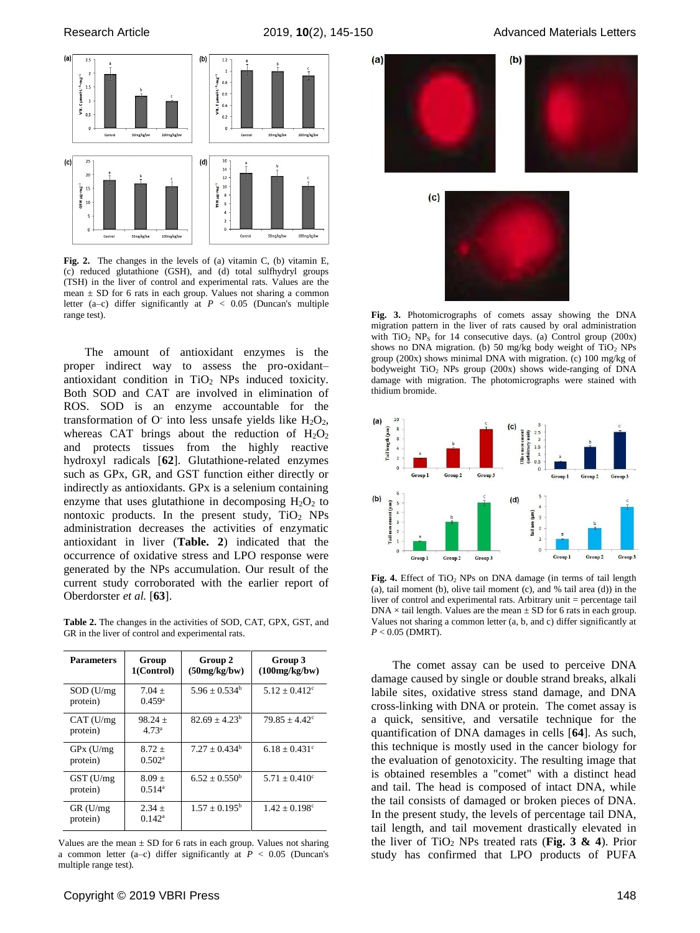

**Fig. 2.** The changes in the levels of (a) vitamin C, (b) vitamin E, (c) reduced glutathione (GSH), and (d) total sulfhydryl groups (TSH) in the liver of control and experimental rats. Values are the mean ± SD for 6 rats in each group. Values not sharing a common letter (a–c) differ significantly at *P* < 0.05 (Duncan's multiple range test).

The amount of antioxidant enzymes is the proper indirect way to assess the pro-oxidant– antioxidant condition in TiO<sub>2</sub> NPs induced toxicity. Both SOD and CAT are involved in elimination of ROS. SOD is an enzyme accountable for the transformation of  $O^-$  into less unsafe yields like  $H_2O_2$ , whereas CAT brings about the reduction of  $H_2O_2$ and protects tissues from the highly reactive hydroxyl radicals [**62**]. Glutathione-related enzymes such as GPx, GR, and GST function either directly or indirectly as antioxidants. GPx is a selenium containing enzyme that uses glutathione in decomposing  $H_2O_2$  to nontoxic products. In the present study,  $TiO<sub>2</sub>$  NPs administration decreases the activities of enzymatic antioxidant in liver (**Table. 2**) indicated that the occurrence of oxidative stress and LPO response were generated by the NPs accumulation. Our result of the current study corroborated with the earlier report of Oberdorster *et al.* [**63**].

**Table 2.** The changes in the activities of SOD, CAT, GPX, GST, and GR in the liver of control and experimental rats.

| <b>Parameters</b>        | Group<br>1(Control)              | Group 2<br>(50mg/kg/bw) | Group 3<br>(100mg/kg/bw)      |
|--------------------------|----------------------------------|-------------------------|-------------------------------|
| SOD (U/mg)<br>protein)   | $7.04 +$<br>$0.459$ <sup>a</sup> | $5.96 + 0.534^b$        | $5.12 + 0.412^{\circ}$        |
| CAT(U/mg)<br>protein)    | $98.24 +$<br>4.73 <sup>a</sup>   | $82.69 + 4.23^b$        | $79.85 + 4.42^{\circ}$        |
| $GPx$ (U/mg)<br>protein) | $8.72 +$<br>0.502 <sup>a</sup>   | $7.27 + 0.434^b$        | $6.18 + 0.431$ <sup>c</sup>   |
| GST (U/mg)<br>protein)   | $8.09 +$<br>$0.514^a$            | $6.52 + 0.550^b$        | $5.71 \pm 0.410^c$            |
| $GR$ (U/mg)<br>protein)  | $2.34 +$<br>$0.142^a$            | $1.57 + 0.195^{\rm b}$  | $1.42 \pm 0.198$ <sup>c</sup> |

Values are the mean  $\pm$  SD for 6 rats in each group. Values not sharing a common letter (a–c) differ significantly at  $P < 0.05$  (Duncan's multiple range test).



**Fig. 3.** Photomicrographs of comets assay showing the DNA migration pattern in the liver of rats caused by oral administration with  $TiO<sub>2</sub> NP<sub>S</sub>$  for 14 consecutive days. (a) Control group (200x) shows no DNA migration. (b) 50 mg/kg body weight of  $TiO<sub>2</sub>$  NPs group (200x) shows minimal DNA with migration. (c) 100 mg/kg of bodyweight TiO<sub>2</sub> NPs group (200x) shows wide-ranging of DNA damage with migration. The photomicrographs were stained with thidium bromide.



Fig. 4. Effect of TiO<sub>2</sub> NPs on DNA damage (in terms of tail length (a), tail moment (b), olive tail moment (c), and % tail area (d)) in the liver of control and experimental rats. Arbitrary unit = percentage tail  $DNA \times tail$  length. Values are the mean  $\pm SD$  for 6 rats in each group. Values not sharing a common letter (a, b, and c) differ significantly at  $P < 0.05$  (DMRT).

The comet assay can be used to perceive DNA damage caused by single or double strand breaks, alkali labile sites, oxidative stress stand damage, and DNA cross-linking with DNA or protein. The comet assay is a quick, sensitive, and versatile technique for the quantification of DNA damages in cells [**64**]. As such, this technique is mostly used in the cancer biology for the evaluation of genotoxicity. The resulting image that is obtained resembles a "comet" with a distinct head and tail. The head is composed of intact DNA, while the tail consists of damaged or broken pieces of DNA. In the present study, the levels of percentage tail DNA, tail length, and tail movement drastically elevated in the liver of TiO<sub>2</sub> NPs treated rats (Fig. 3  $\&$  4). Prior study has confirmed that LPO products of PUFA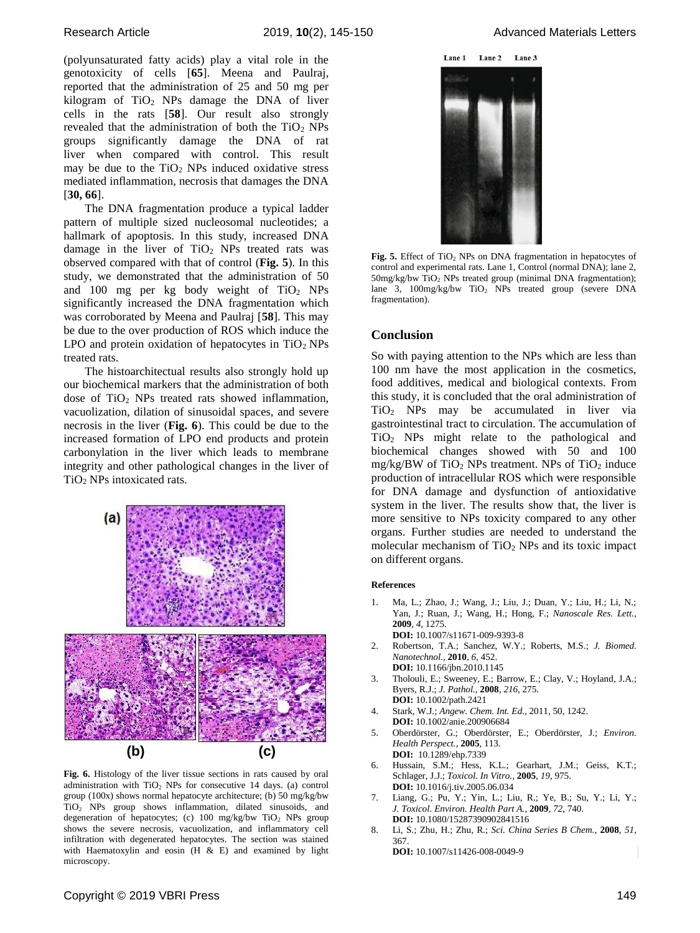(polyunsaturated fatty acids) play a vital role in the genotoxicity of cells [**65**]. Meena and Paulraj, reported that the administration of 25 and 50 mg per kilogram of  $TiO<sub>2</sub>$  NPs damage the DNA of liver cells in the rats [**58**]. Our result also strongly revealed that the administration of both the  $TiO<sub>2</sub>$  NPs groups significantly damage the DNA of rat liver when compared with control. This result may be due to the  $TiO<sub>2</sub>$  NPs induced oxidative stress mediated inflammation, necrosis that damages the DNA [**30, 66**].

The DNA fragmentation produce a typical ladder pattern of multiple sized nucleosomal nucleotides; a hallmark of apoptosis. In this study, increased DNA damage in the liver of  $TiO<sub>2</sub>$  NPs treated rats was observed compared with that of control (**Fig. 5**). In this study, we demonstrated that the administration of 50 and  $100$  mg per kg body weight of TiO<sub>2</sub> NPs significantly increased the DNA fragmentation which was corroborated by Meena and Paulraj [**58**]. This may be due to the over production of ROS which induce the LPO and protein oxidation of hepatocytes in  $TiO<sub>2</sub>$  NPs treated rats.

The histoarchitectual results also strongly hold up our biochemical markers that the administration of both dose of  $TiO<sub>2</sub>$  NPs treated rats showed inflammation. vacuolization, dilation of sinusoidal spaces, and severe necrosis in the liver (**Fig. 6**). This could be due to the increased formation of LPO end products and protein carbonylation in the liver which leads to membrane integrity and other pathological changes in the liver of TiO<sup>2</sup> NPs intoxicated rats.



**Fig. 6.** Histology of the liver tissue sections in rats caused by oral administration with TiO<sup>2</sup> NPs for consecutive 14 days. (a) control group (100x) shows normal hepatocyte architecture; (b) 50 mg/kg/bw TiO<sup>2</sup> NPs group shows inflammation, dilated sinusoids, and degeneration of hepatocytes; (c) 100 mg/kg/bw  $TiO<sub>2</sub>$  NPs group shows the severe necrosis, vacuolization, and inflammatory cell infiltration with degenerated hepatocytes. The section was stained with Haematoxylin and eosin  $(H \& E)$  and examined by light microscopy.

Lane 1 Lane 2 Lane 3



Fig. 5. Effect of TiO<sub>2</sub> NPs on DNA fragmentation in hepatocytes of control and experimental rats. Lane 1, Control (normal DNA); lane 2,  $50$ mg/kg/bw TiO<sub>2</sub> NPs treated group (minimal DNA fragmentation); lane 3,  $100$ mg/kg/bw  $TiO<sub>2</sub>$  NPs treated group (severe DNA fragmentation).

#### **Conclusion**

So with paying attention to the NPs which are less than 100 nm have the most application in the cosmetics, food additives, medical and biological contexts. From this study, it is concluded that the oral administration of TiO<sup>2</sup> NPs may be accumulated in liver via gastrointestinal tract to circulation. The accumulation of TiO<sup>2</sup> NPs might relate to the pathological and biochemical changes showed with 50 and 100 mg/kg/BW of  $TiO<sub>2</sub>$  NPs treatment. NPs of  $TiO<sub>2</sub>$  induce production of intracellular ROS which were responsible for DNA damage and dysfunction of antioxidative system in the liver. The results show that, the liver is more sensitive to NPs toxicity compared to any other organs. Further studies are needed to understand the molecular mechanism of  $TiO<sub>2</sub>$  NPs and its toxic impact on different organs.

#### **References**

- 1. Ma, L.; Zhao, J.; Wang, J.; Liu, J.; Duan, Y.; Liu, H.; Li, N.; Yan, J.; Ruan, J.; Wang, H.; Hong, F.; *Nanoscale Res. Lett.,* **2009**, *4*, 1275. **DOI:** 10.1007/s11671-009-9393-8
- 2. Robertson, T.A.; Sanchez, W.Y.; Roberts, M.S.; *J. Biomed. Nanotechnol.,* **2010**, *6*, 452. **DOI:** [10.1166/jbn.2010.1145](https://doi.org/10.1166/jbn.2010.1145)
- 3. Tholouli, E.; Sweeney, E.; Barrow, E.; Clay, V.; Hoyland, J.A.; Byers, R.J.; *J. Pathol.,* **2008**, *216*, 275. **DOI:** 10.1002/path.2421
- 4. Stark, W.J.; *Angew. Chem. Int. Ed.,* 2011, 50, 1242. **DOI:** 10.1002/anie.200906684
- 5. Oberdörster, G.; Oberdörster, E.; Oberdörster, J.; *Environ. Health Perspect.,* **2005**, 113. **DOI:** [10.1289/ehp.7339](https://dx.doi.org/10.1289%2Fehp.7339)
- 6. Hussain, S.M.; Hess, K.L.; Gearhart, J.M.; Geiss, K.T.; Schlager, J.J.; *Toxicol. In Vitro.,* **2005**, *19*, 975. **DOI:** [10.1016/j.tiv.2005.06.034](http://dx.doi.org/10.1016/j.tiv.2005.06.034)
- 7. Liang, G.; Pu, Y.; Yin, L.; Liu, R.; Ye, B.; Su, Y.; Li, Y.; *J. Toxicol. Environ. Health Part A.,* **2009**, *72*, 740. **DOI:** 10.1080/15287390902841516
- 8. Li, S.; Zhu, H.; Zhu, R.; *Sci. China Series B Chem.,* **2008**, *51*, 367.

**DOI:** 10.1007/s11426-008-0049-9